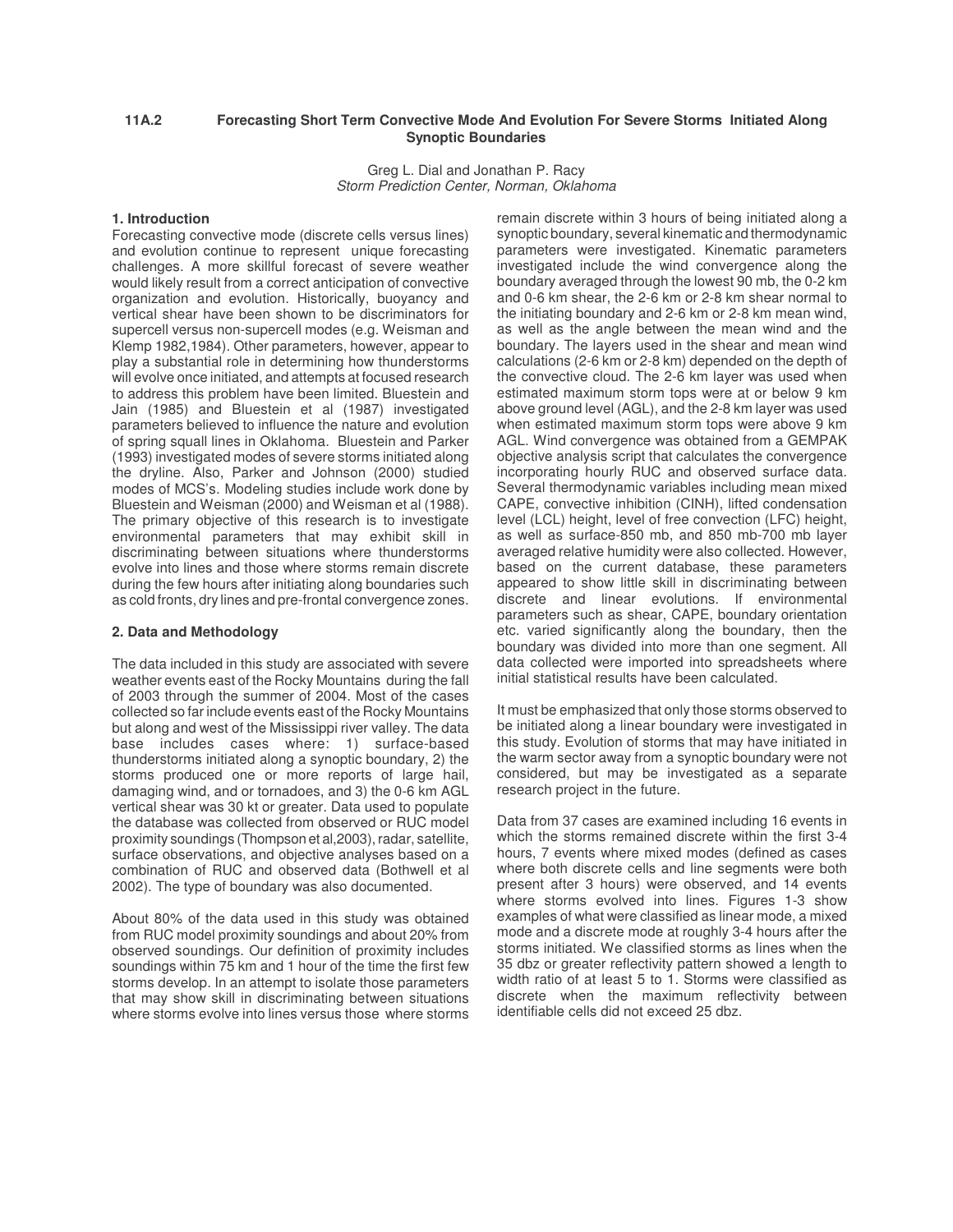# **11A.2 Forecasting Short Term Convective Mode And Evolution For Severe Storms Initiated Along Synoptic Boundaries**

Greg L. Dial and Jonathan P. Racy *Storm Prediction Center, Norman, Oklahoma*

## **1. Introduction**

Forecasting convective mode (discrete cells versus lines) and evolution continue to represent unique forecasting challenges. A more skillful forecast of severe weather would likely result from a correct anticipation of convective organization and evolution. Historically, buoyancy and vertical shear have been shown to be discriminators for supercell versus non-supercell modes (e.g. Weisman and Klemp 1982,1984). Other parameters, however, appear to play a substantial role in determining how thunderstorms will evolve once initiated, and attempts at focused research to address this problem have been limited. Bluestein and Jain (1985) and Bluestein et al (1987) investigated parameters believed to influence the nature and evolution of spring squall lines in Oklahoma. Bluestein and Parker (1993) investigated modes of severe storms initiated along the dryline. Also, Parker and Johnson (2000) studied modes of MCS's. Modeling studies include work done by Bluestein and Weisman (2000) and Weisman et al (1988). The primary objective of this research is to investigate environmental parameters that may exhibit skill in discriminating between situations where thunderstorms evolve into lines and those where storms remain discrete during the few hours after initiating along boundaries such as cold fronts, dry lines and pre-frontal convergence zones.

## **2. Data and Methodology**

The data included in this study are associated with severe weather events east of the Rocky Mountains during the fall of 2003 through the summer of 2004. Most of the cases collected so far include events east of the Rocky Mountains but along and west of the Mississippi river valley. The data base includes cases where: 1) surface-based thunderstorms initiated along a synoptic boundary, 2) the storms produced one or more reports of large hail, damaging wind, and or tornadoes, and 3) the 0-6 km AGL vertical shear was 30 kt or greater. Data used to populate the database was collected from observed or RUC model proximity soundings (Thompson et al, 2003), radar, satellite, surface observations, and objective analyses based on a combination of RUC and observed data (Bothwell et al 2002). The type of boundary was also documented.

About 80% of the data used in this study was obtained from RUC model proximity soundings and about 20% from observed soundings. Our definition of proximity includes soundings within 75 km and 1 hour of the time the first few storms develop. In an attempt to isolate those parameters that may show skill in discriminating between situations where storms evolve into lines versus those where storms remain discrete within 3 hours of being initiated along a synoptic boundary, several kinematic and thermodynamic parameters were investigated. Kinematic parameters investigated include the wind convergence along the boundary averaged through the lowest 90 mb, the 0-2 km and 0-6 km shear, the 2-6 km or 2-8 km shear normal to the initiating boundary and 2-6 km or 2-8 km mean wind, as well as the angle between the mean wind and the boundary. The layers used in the shear and mean wind calculations (2-6 km or 2-8 km) depended on the depth of the convective cloud. The 2-6 km layer was used when estimated maximum storm tops were at or below 9 km above ground level (AGL), and the 2-8 km layer was used when estimated maximum storm tops were above 9 km AGL. Wind convergence was obtained from a GEMPAK objective analysis script that calculates the convergence incorporating hourly RUC and observed surface data. Several thermodynamic variables including mean mixed CAPE, convective inhibition (CINH), lifted condensation level (LCL) height, level of free convection (LFC) height, as well as surface-850 mb, and 850 mb-700 mb layer averaged relative humidity were also collected. However, based on the current database, these parameters appeared to show little skill in discriminating between discrete and linear evolutions. If environmental parameters such as shear, CAPE, boundary orientation etc. varied significantly along the boundary, then the boundary was divided into more than one segment. All data collected were imported into spreadsheets where initial statistical results have been calculated.

It must be emphasized that only those storms observed to be initiated along a linear boundary were investigated in this study. Evolution of storms that may have initiated in the warm sector away from a synoptic boundary were not considered, but may be investigated as a separate research project in the future.

Data from 37 cases are examined including 16 events in which the storms remained discrete within the first 3-4 hours, 7 events where mixed modes (defined as cases where both discrete cells and line segments were both present after 3 hours) were observed, and 14 events where storms evolved into lines. Figures 1-3 show examples of what were classified as linear mode, a mixed mode and a discrete mode at roughly 3-4 hours after the storms initiated. We classified storms as lines when the 35 dbz or greater reflectivity pattern showed a length to width ratio of at least 5 to 1. Storms were classified as discrete when the maximum reflectivity between identifiable cells did not exceed 25 dbz.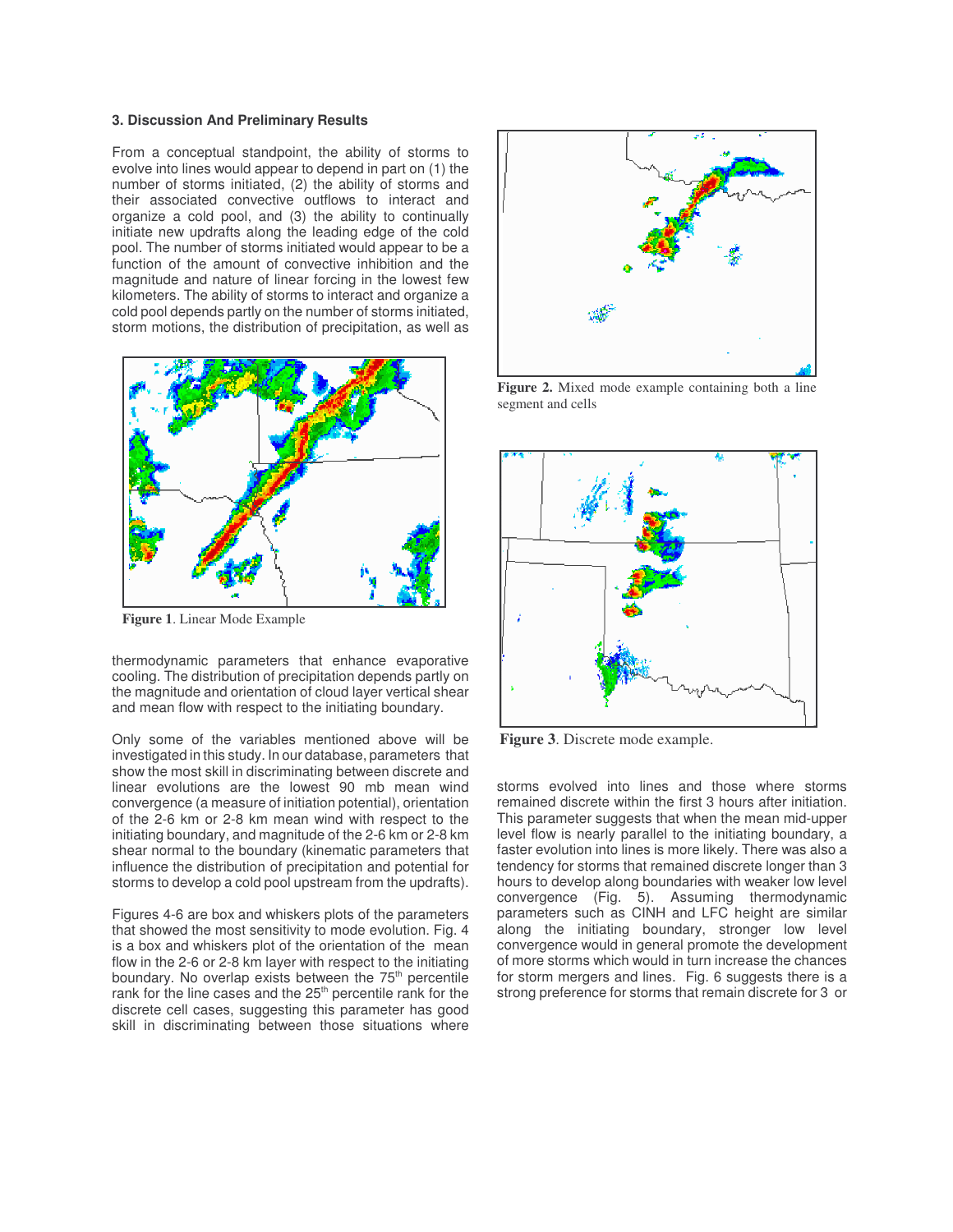#### **3. Discussion And Preliminary Results**

From a conceptual standpoint, the ability of storms to evolve into lines would appear to depend in part on (1) the number of storms initiated, (2) the ability of storms and their associated convective outflows to interact and organize a cold pool, and (3) the ability to continually initiate new updrafts along the leading edge of the cold pool. The number of storms initiated would appear to be a function of the amount of convective inhibition and the magnitude and nature of linear forcing in the lowest few kilometers. The ability of storms to interact and organize a cold pool depends partly on the number of storms initiated, storm motions, the distribution of precipitation, as well as



**Figure 1**. Linear Mode Example

thermodynamic parameters that enhance evaporative cooling. The distribution of precipitation depends partly on the magnitude and orientation of cloud layer vertical shear and mean flow with respect to the initiating boundary.

Only some of the variables mentioned above will be investigated in this study. In our database, parameters that show the most skill in discriminating between discrete and linear evolutions are the lowest 90 mb mean wind convergence (a measure of initiation potential), orientation of the 2-6 km or 2-8 km mean wind with respect to the initiating boundary, and magnitude of the 2-6 km or 2-8 km shear normal to the boundary (kinematic parameters that influence the distribution of precipitation and potential for storms to develop a cold pool upstream from the updrafts).

Figures 4-6 are box and whiskers plots of the parameters that showed the most sensitivity to mode evolution. Fig. 4 is a box and whiskers plot of the orientation of the mean flow in the 2-6 or 2-8 km layer with respect to the initiating boundary. No overlap exists between the 75<sup>th</sup> percentile rank for the line cases and the 25<sup>th</sup> percentile rank for the discrete cell cases, suggesting this parameter has good skill in discriminating between those situations where



**Figure 2.** Mixed mode example containing both a line segment and cells



**Figure 3**. Discrete mode example.

storms evolved into lines and those where storms remained discrete within the first 3 hours after initiation. This parameter suggests that when the mean mid-upper level flow is nearly parallel to the initiating boundary, a faster evolution into lines is more likely. There was also a tendency for storms that remained discrete longer than 3 hours to develop along boundaries with weaker low level convergence (Fig. 5). Assuming thermodynamic parameters such as CINH and LFC height are similar along the initiating boundary, stronger low level convergence would in general promote the development of more storms which would in turn increase the chances for storm mergers and lines. Fig. 6 suggests there is a strong preference for storms that remain discrete for 3 or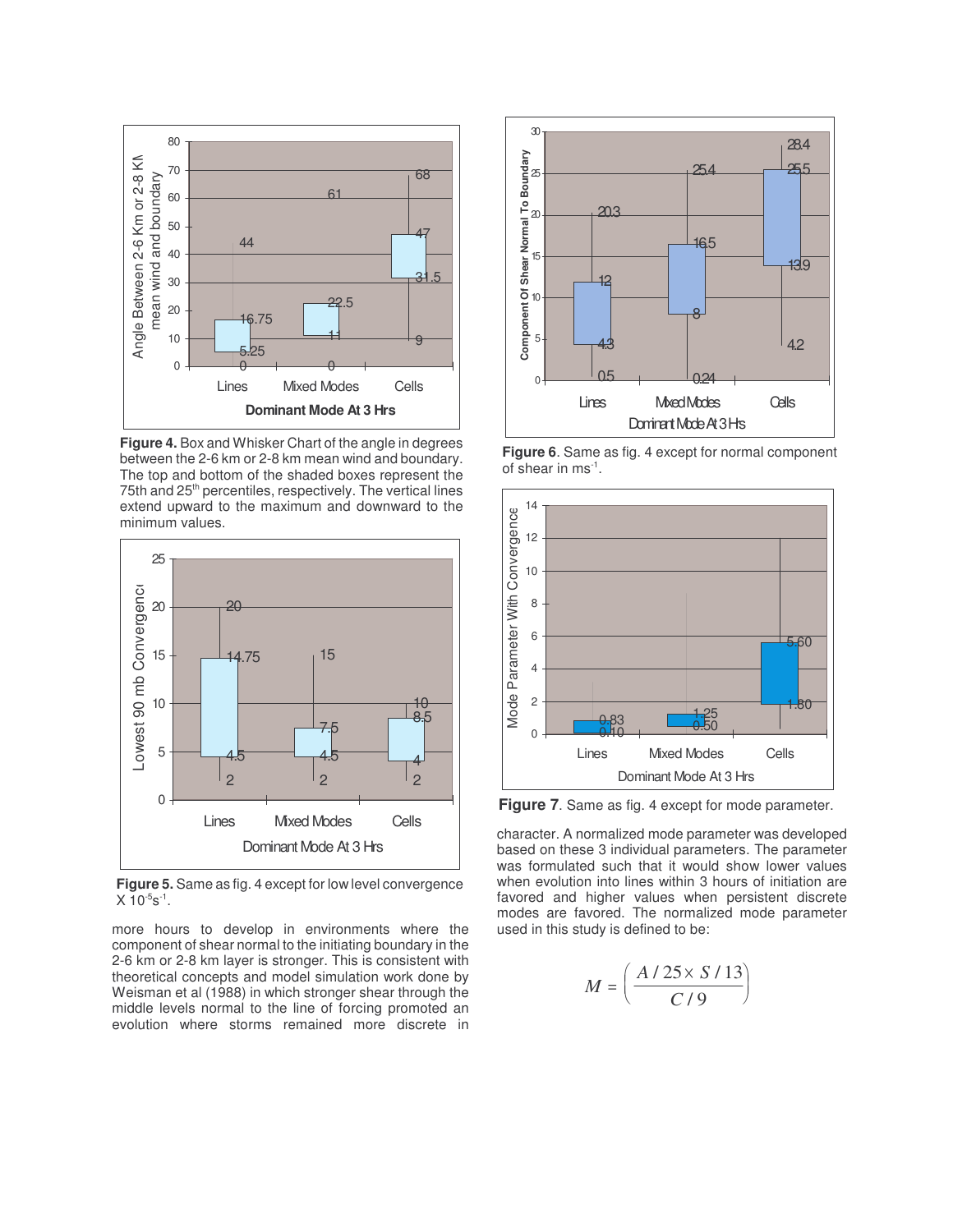

**Figure 4.** Box and Whisker Chart of the angle in degrees between the 2-6 km or 2-8 km mean wind and boundary. The top and bottom of the shaded boxes represent the 75th and 25<sup>th</sup> percentiles, respectively. The vertical lines extend upward to the maximum and downward to the minimum values.



**Figure 5.** Same as fig. 4 except for low level convergence  $X$  10<sup>-5</sup>s<sup>-1</sup>.

more hours to develop in environments where the component of shear normal to the initiating boundary in the 2-6 km or 2-8 km layer is stronger. This is consistent with theoretical concepts and model simulation work done by Weisman et al (1988) in which stronger shear through the middle levels normal to the line of forcing promoted an evolution where storms remained more discrete in



**Figure 6**. Same as fig. 4 except for normal component of shear in ms<sup>-1</sup>.



**Figure 7**. Same as fig. 4 except for mode parameter.

character. A normalized mode parameter was developed based on these 3 individual parameters. The parameter was formulated such that it would show lower values when evolution into lines within 3 hours of initiation are favored and higher values when persistent discrete modes are favored. The normalized mode parameter used in this study is defined to be:

$$
M = \left(\frac{A/25 \times S/13}{C/9}\right)
$$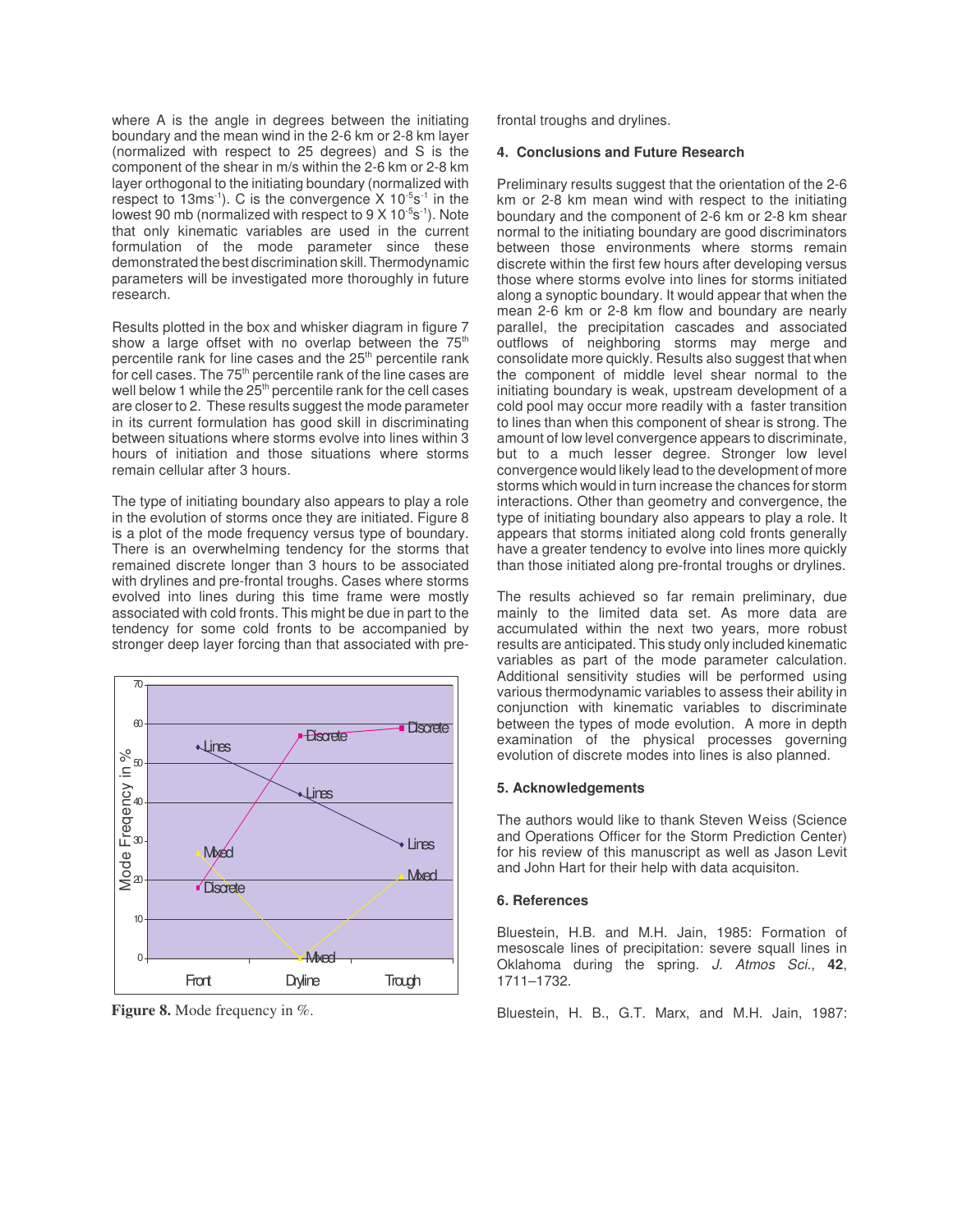where A is the angle in degrees between the initiating boundary and the mean wind in the 2-6 km or 2-8 km layer (normalized with respect to 25 degrees) and S is the component of the shear in m/s within the 2-6 km or 2-8 km layer orthogonal to the initiating boundary (normalized with respect to 13ms<sup>-1</sup>). C is the convergence X  $10^{-5}$ s<sup>-1</sup> in the lowest 90 mb (normalized with respect to 9  $\times$  10<sup>-5</sup>s<sup>-1</sup>). Note that only kinematic variables are used in the current formulation of the mode parameter since these demonstrated the best discrimination skill.Thermodynamic parameters will be investigated more thoroughly in future research.

Results plotted in the box and whisker diagram in figure 7 show a large offset with no overlap between the 75<sup>th</sup> percentile rank for line cases and the 25<sup>th</sup> percentile rank for cell cases. The 75<sup>th</sup> percentile rank of the line cases are well below 1 while the 25<sup>th</sup> percentile rank for the cell cases are closer to 2. These results suggest the mode parameter in its current formulation has good skill in discriminating between situations where storms evolve into lines within 3 hours of initiation and those situations where storms remain cellular after 3 hours.

The type of initiating boundary also appears to play a role in the evolution of storms once they are initiated. Figure 8 is a plot of the mode frequency versus type of boundary. There is an overwhelming tendency for the storms that remained discrete longer than 3 hours to be associated with drylines and pre-frontal troughs. Cases where storms evolved into lines during this time frame were mostly associated with cold fronts. This might be due in part to the tendency for some cold fronts to be accompanied by stronger deep layer forcing than that associated with pre-



**Figure 8.** Mode frequency in %.

frontal troughs and drylines.

## **4. Conclusions and Future Research**

Preliminary results suggest that the orientation of the 2-6 km or 2-8 km mean wind with respect to the initiating boundary and the component of 2-6 km or 2-8 km shear normal to the initiating boundary are good discriminators between those environments where storms remain discrete within the first few hours after developing versus those where storms evolve into lines for storms initiated along a synoptic boundary. It would appear that when the mean 2-6 km or 2-8 km flow and boundary are nearly parallel, the precipitation cascades and associated outflows of neighboring storms may merge and consolidate more quickly. Results also suggest that when the component of middle level shear normal to the initiating boundary is weak, upstream development of a cold pool may occur more readily with a faster transition to lines than when this component of shear is strong. The amount of low level convergence appears to discriminate, but to a much lesser degree. Stronger low level convergence would likely lead to the development of more storms which would in turn increase the chances for storm interactions. Other than geometry and convergence, the type of initiating boundary also appears to play a role. It appears that storms initiated along cold fronts generally have a greater tendency to evolve into lines more quickly than those initiated along pre-frontal troughs or drylines.

The results achieved so far remain preliminary, due mainly to the limited data set. As more data are accumulated within the next two years, more robust results are anticipated. This study only included kinematic variables as part of the mode parameter calculation. Additional sensitivity studies will be performed using various thermodynamic variables to assess their ability in conjunction with kinematic variables to discriminate between the types of mode evolution. A more in depth examination of the physical processes governing evolution of discrete modes into lines is also planned.

## **5. Acknowledgements**

The authors would like to thank Steven Weiss (Science and Operations Officer for the Storm Prediction Center) for his review of this manuscript as well as Jason Levit and John Hart for their help with data acquisiton.

## **6. References**

Bluestein, H.B. and M.H. Jain, 1985: Formation of mesoscale lines of precipitation: severe squall lines in Oklahoma during the spring. *J. Atmos Sci*., **42**, 1711–1732.

Bluestein, H. B., G.T. Marx, and M.H. Jain, 1987: